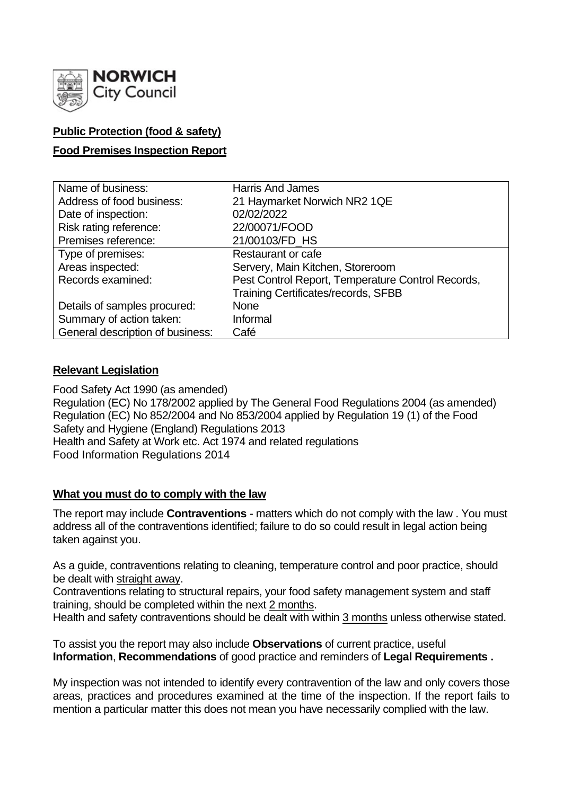

# **Public Protection (food & safety)**

# **Food Premises Inspection Report**

| Name of business:                | <b>Harris And James</b>                           |
|----------------------------------|---------------------------------------------------|
| Address of food business:        | 21 Haymarket Norwich NR2 1QE                      |
| Date of inspection:              | 02/02/2022                                        |
| Risk rating reference:           | 22/00071/FOOD                                     |
| Premises reference:              | 21/00103/FD_HS                                    |
| Type of premises:                | <b>Restaurant or cafe</b>                         |
| Areas inspected:                 | Servery, Main Kitchen, Storeroom                  |
| Records examined:                | Pest Control Report, Temperature Control Records, |
|                                  | Training Certificates/records, SFBB               |
| Details of samples procured:     | <b>None</b>                                       |
| Summary of action taken:         | Informal                                          |
| General description of business: | Café                                              |

# **Relevant Legislation**

Food Safety Act 1990 (as amended) Regulation (EC) No 178/2002 applied by The General Food Regulations 2004 (as amended) Regulation (EC) No 852/2004 and No 853/2004 applied by Regulation 19 (1) of the Food Safety and Hygiene (England) Regulations 2013 Health and Safety at Work etc. Act 1974 and related regulations Food Information Regulations 2014

## **What you must do to comply with the law**

The report may include **Contraventions** - matters which do not comply with the law . You must address all of the contraventions identified; failure to do so could result in legal action being taken against you.

As a guide, contraventions relating to cleaning, temperature control and poor practice, should be dealt with straight away.

Contraventions relating to structural repairs, your food safety management system and staff training, should be completed within the next 2 months.

Health and safety contraventions should be dealt with within 3 months unless otherwise stated.

To assist you the report may also include **Observations** of current practice, useful **Information**, **Recommendations** of good practice and reminders of **Legal Requirements .**

My inspection was not intended to identify every contravention of the law and only covers those areas, practices and procedures examined at the time of the inspection. If the report fails to mention a particular matter this does not mean you have necessarily complied with the law.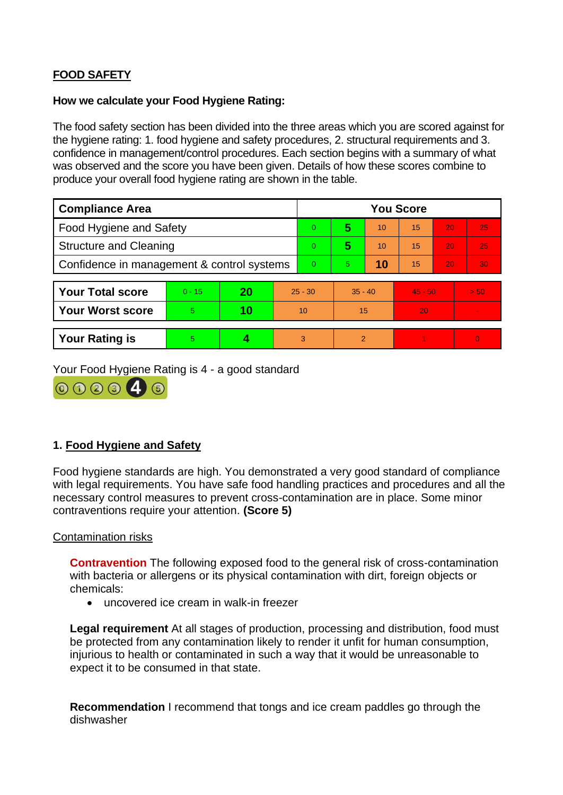# **FOOD SAFETY**

### **How we calculate your Food Hygiene Rating:**

The food safety section has been divided into the three areas which you are scored against for the hygiene rating: 1. food hygiene and safety procedures, 2. structural requirements and 3. confidence in management/control procedures. Each section begins with a summary of what was observed and the score you have been given. Details of how these scores combine to produce your overall food hygiene rating are shown in the table.

| <b>Compliance Area</b>                     |          |    |           | <b>You Score</b> |               |    |           |    |                 |  |
|--------------------------------------------|----------|----|-----------|------------------|---------------|----|-----------|----|-----------------|--|
| <b>Food Hygiene and Safety</b>             |          |    |           | 0                | 5             | 10 | 15        | 20 | 25              |  |
| <b>Structure and Cleaning</b>              |          |    |           | 0                | 5             | 10 | 15        | 20 | 25              |  |
| Confidence in management & control systems |          |    |           | 0                | 5.            | 10 | 15        | 20 | 30 <sub>1</sub> |  |
|                                            |          |    |           |                  |               |    |           |    |                 |  |
| <b>Your Total score</b>                    | $0 - 15$ | 20 | $25 - 30$ |                  | $35 - 40$     |    | $45 - 50$ |    | $>$ 50.         |  |
| <b>Your Worst score</b>                    | 5        | 10 | 10        |                  | 15            |    | 20        |    |                 |  |
|                                            |          |    |           |                  |               |    |           |    |                 |  |
| <b>Your Rating is</b>                      | 5        |    |           | 3                | $\mathcal{P}$ |    |           |    | $\Omega$        |  |

Your Food Hygiene Rating is 4 - a good standard



# **1. Food Hygiene and Safety**

Food hygiene standards are high. You demonstrated a very good standard of compliance with legal requirements. You have safe food handling practices and procedures and all the necessary control measures to prevent cross-contamination are in place. Some minor contraventions require your attention. **(Score 5)**

Contamination risks

**Contravention** The following exposed food to the general risk of cross-contamination with bacteria or allergens or its physical contamination with dirt, foreign objects or chemicals:

• uncovered ice cream in walk-in freezer

**Legal requirement** At all stages of production, processing and distribution, food must be protected from any contamination likely to render it unfit for human consumption, injurious to health or contaminated in such a way that it would be unreasonable to expect it to be consumed in that state.

**Recommendation** I recommend that tongs and ice cream paddles go through the dishwasher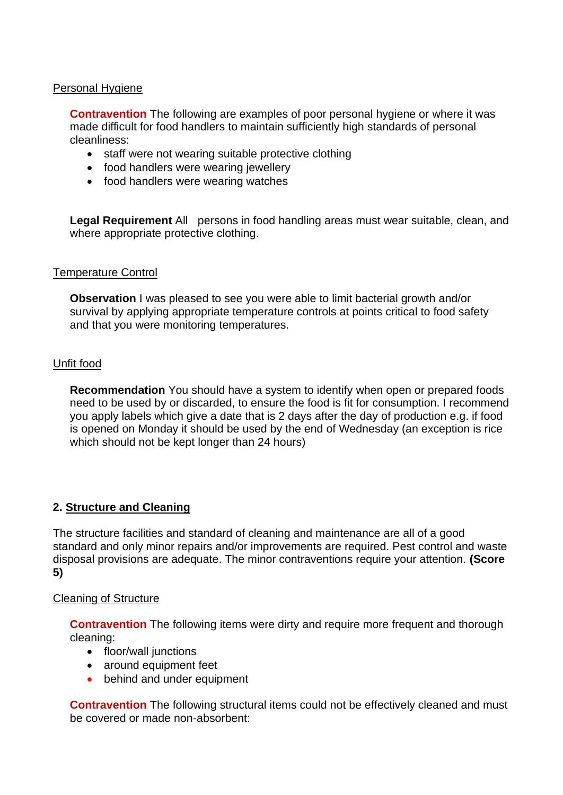## Personal Hygiene

**Contravention** The following are examples of poor personal hygiene or where it was made difficult for food handlers to maintain sufficiently high standards of personal cleanliness:

- staff were not wearing suitable protective clothing
- food handlers were wearing jewellery
- food handlers were wearing watches

**Legal Requirement** All persons in food handling areas must wear suitable, clean, and where appropriate protective clothing.

#### Temperature Control

**Observation** I was pleased to see you were able to limit bacterial growth and/or survival by applying appropriate temperature controls at points critical to food safety and that you were monitoring temperatures.

#### Unfit food

**Recommendation** You should have a system to identify when open or prepared foods need to be used by or discarded, to ensure the food is fit for consumption. I recommend you apply labels which give a date that is 2 days after the day of production e.g. if food is opened on Monday it should be used by the end of Wednesday (an exception is rice which should not be kept longer than 24 hours)

## **2. Structure and Cleaning**

The structure facilities and standard of cleaning and maintenance are all of a good standard and only minor repairs and/or improvements are required. Pest control and waste disposal provisions are adequate. The minor contraventions require your attention. **(Score 5)**

#### Cleaning of Structure

**Contravention** The following items were dirty and require more frequent and thorough cleaning:

- floor/wall junctions
- around equipment feet
- behind and under equipment

**Contravention** The following structural items could not be effectively cleaned and must be covered or made non-absorbent: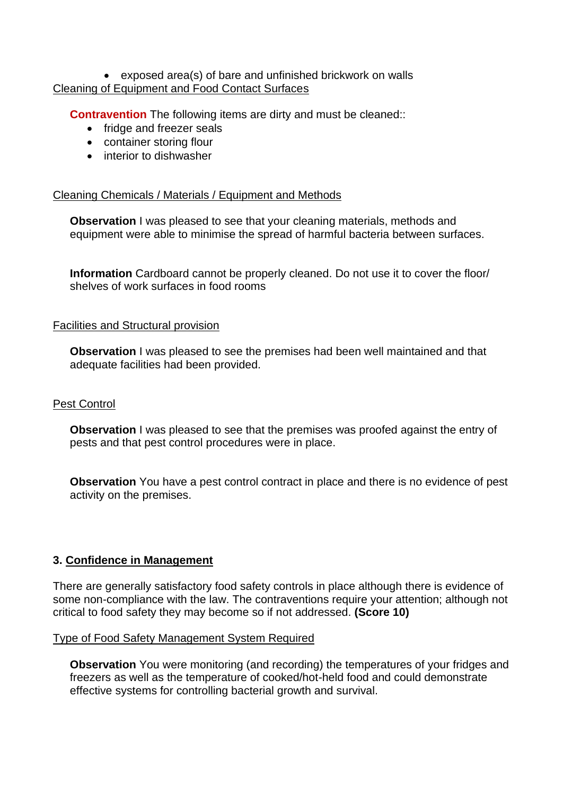### • exposed area(s) of bare and unfinished brickwork on walls Cleaning of Equipment and Food Contact Surfaces

**Contravention** The following items are dirty and must be cleaned::

- fridge and freezer seals
- container storing flour
- interior to dishwasher

## Cleaning Chemicals / Materials / Equipment and Methods

**Observation** I was pleased to see that your cleaning materials, methods and equipment were able to minimise the spread of harmful bacteria between surfaces.

**Information** Cardboard cannot be properly cleaned. Do not use it to cover the floor/ shelves of work surfaces in food rooms

### Facilities and Structural provision

**Observation** I was pleased to see the premises had been well maintained and that adequate facilities had been provided.

## Pest Control

**Observation** I was pleased to see that the premises was proofed against the entry of pests and that pest control procedures were in place.

**Observation** You have a pest control contract in place and there is no evidence of pest activity on the premises.

## **3. Confidence in Management**

There are generally satisfactory food safety controls in place although there is evidence of some non-compliance with the law. The contraventions require your attention; although not critical to food safety they may become so if not addressed. **(Score 10)**

## Type of Food Safety Management System Required

**Observation** You were monitoring (and recording) the temperatures of your fridges and freezers as well as the temperature of cooked/hot-held food and could demonstrate effective systems for controlling bacterial growth and survival.